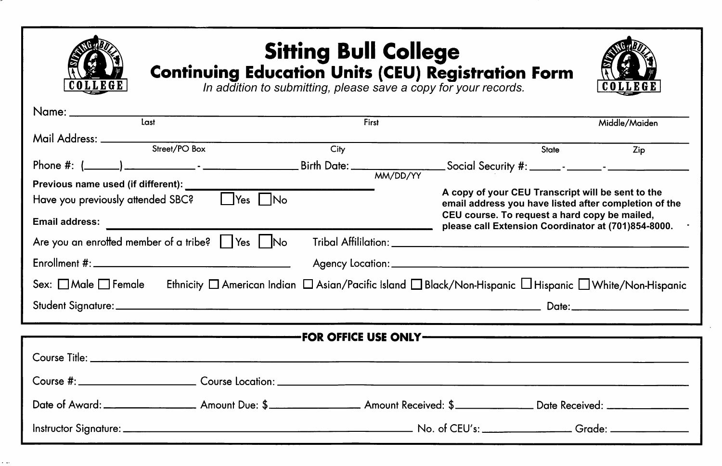|  |                             | Middle/Maiden                                                                                                                                                                                                                                                                                                                                                                                                                                                                                                                                                                                                                                                        |  |  |  |
|--|-----------------------------|----------------------------------------------------------------------------------------------------------------------------------------------------------------------------------------------------------------------------------------------------------------------------------------------------------------------------------------------------------------------------------------------------------------------------------------------------------------------------------------------------------------------------------------------------------------------------------------------------------------------------------------------------------------------|--|--|--|
|  |                             |                                                                                                                                                                                                                                                                                                                                                                                                                                                                                                                                                                                                                                                                      |  |  |  |
|  |                             | Zip                                                                                                                                                                                                                                                                                                                                                                                                                                                                                                                                                                                                                                                                  |  |  |  |
|  |                             |                                                                                                                                                                                                                                                                                                                                                                                                                                                                                                                                                                                                                                                                      |  |  |  |
|  |                             |                                                                                                                                                                                                                                                                                                                                                                                                                                                                                                                                                                                                                                                                      |  |  |  |
|  |                             |                                                                                                                                                                                                                                                                                                                                                                                                                                                                                                                                                                                                                                                                      |  |  |  |
|  |                             |                                                                                                                                                                                                                                                                                                                                                                                                                                                                                                                                                                                                                                                                      |  |  |  |
|  |                             |                                                                                                                                                                                                                                                                                                                                                                                                                                                                                                                                                                                                                                                                      |  |  |  |
|  |                             |                                                                                                                                                                                                                                                                                                                                                                                                                                                                                                                                                                                                                                                                      |  |  |  |
|  |                             |                                                                                                                                                                                                                                                                                                                                                                                                                                                                                                                                                                                                                                                                      |  |  |  |
|  |                             |                                                                                                                                                                                                                                                                                                                                                                                                                                                                                                                                                                                                                                                                      |  |  |  |
|  |                             |                                                                                                                                                                                                                                                                                                                                                                                                                                                                                                                                                                                                                                                                      |  |  |  |
|  |                             |                                                                                                                                                                                                                                                                                                                                                                                                                                                                                                                                                                                                                                                                      |  |  |  |
|  |                             |                                                                                                                                                                                                                                                                                                                                                                                                                                                                                                                                                                                                                                                                      |  |  |  |
|  |                             |                                                                                                                                                                                                                                                                                                                                                                                                                                                                                                                                                                                                                                                                      |  |  |  |
|  |                             |                                                                                                                                                                                                                                                                                                                                                                                                                                                                                                                                                                                                                                                                      |  |  |  |
|  |                             |                                                                                                                                                                                                                                                                                                                                                                                                                                                                                                                                                                                                                                                                      |  |  |  |
|  | First<br>$\overline{C}$ ity | <b>Sitting Bull College</b><br><b>Continuing Education Units (CEU) Registration Form</b><br>In addition to submitting, please save a copy for your records.<br>State<br>Phone #: $(\_\_\_\_\_\_\_\_\_\_\_\_$ - $\_\_\_\_\_\_\_\_$ - $\_\_\_\_\_\_\_\_$ Birth Date: $\_\_\_\_\_\_\_\_\_\_$ Social Security #: $\_\_\_\_\_\_\_\_\_\_$<br>A copy of your CEU Transcript will be sent to the<br>email address you have listed after completion of the<br>CEU course. To request a hard copy be mailed,<br>please call Extension Coordinator at (701)854-8000.<br>Ethnicity □ American Indian □ Asian/Pacific Island □ Black/Non-Hispanic □ Hispanic □ White/Non-Hispanic |  |  |  |

٠.,